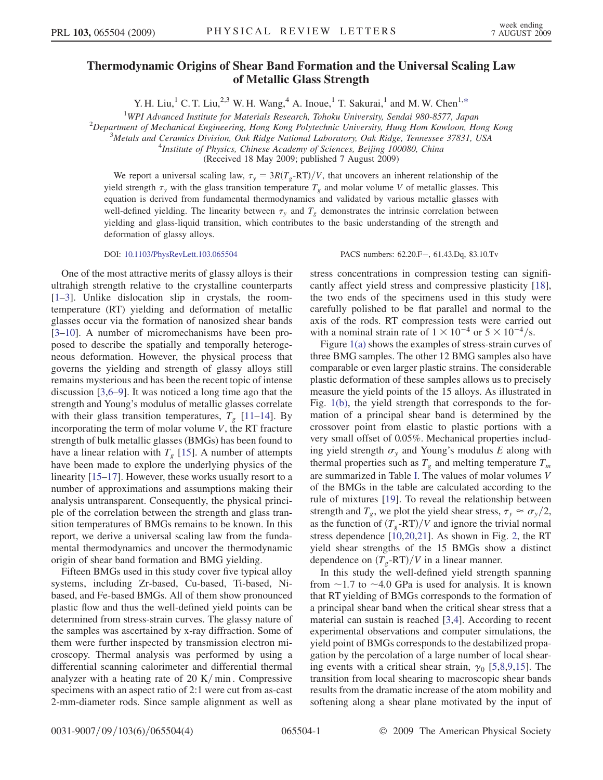## Thermodynamic Origins of Shear Band Formation and the Universal Scaling Law of Metallic Glass Strength

Y. H. Liu,<sup>1</sup> C. T. Liu,<sup>2,3</sup> W. H. Wang,<sup>4</sup> A. Inoue,<sup>1</sup> T. Sakurai,<sup>1</sup> and M. W. Chen<sup>1,[\\*](#page-3-0)</sup>

<span id="page-0-0"></span><sup>1</sup>WPI Advanced Institute for Materials Research, Tohoku University, Sendai 980-8577, Japan<br><sup>2</sup>Department of Mechanical Engineering, Hong Kong Polytechnic University, Hung Hom Kowloon, He

 $2$ Department of Mechanical Engineering, Hong Kong Polytechnic University, Hung Hom Kowloon, Hong Kong

 $3$ Metals and Ceramics Division, Oak Ridge National Laboratory, Oak Ridge, Tennessee 37831, USA

 $^{4}$ Institute of Physics, Chinese Academy of Sciences, Beijing 100080, China

(Received 18 May 2009; published 7 August 2009)

We report a universal scaling law,  $\tau_y = 3R(T_g - RT)/V$ , that uncovers an inherent relationship of the yield strength  $\tau_y$  with the glass transition temperature  $T_g$  and molar volume V of metallic glasses. This equation is derived from fundamental thermodynamics and validated by various metallic glasses with well-defined yielding. The linearity between  $\tau_y$  and  $T_g$  demonstrates the intrinsic correlation between yielding and glass-liquid transition, which contributes to the basic understanding of the strength and deformation of glassy alloys.

DOI: [10.1103/PhysRevLett.103.065504](http://dx.doi.org/10.1103/PhysRevLett.103.065504) PACS numbers: 62.20.F, 61.43.Dq, 83.10.Tv

One of the most attractive merits of glassy alloys is their ultrahigh strength relative to the crystalline counterparts [\[1–](#page-3-1)[3](#page-3-2)]. Unlike dislocation slip in crystals, the roomtemperature (RT) yielding and deformation of metallic glasses occur via the formation of nanosized shear bands [\[3–](#page-3-2)[10](#page-3-3)]. A number of micromechanisms have been proposed to describe the spatially and temporally heterogeneous deformation. However, the physical process that governs the yielding and strength of glassy alloys still remains mysterious and has been the recent topic of intense discussion [[3](#page-3-2),[6](#page-3-4)[–9](#page-3-5)]. It was noticed a long time ago that the strength and Young's modulus of metallic glasses correlate with their glass transition temperatures,  $T_g$  [\[11–](#page-3-6)[14](#page-3-7)]. By incorporating the term of molar volume V, the RT fracture strength of bulk metallic glasses (BMGs) has been found to have a linear relation with  $T<sub>g</sub>$  [[15](#page-3-8)]. A number of attempts have been made to explore the underlying physics of the linearity [\[15–](#page-3-8)[17](#page-3-9)]. However, these works usually resort to a number of approximations and assumptions making their analysis untransparent. Consequently, the physical principle of the correlation between the strength and glass transition temperatures of BMGs remains to be known. In this report, we derive a universal scaling law from the fundamental thermodynamics and uncover the thermodynamic origin of shear band formation and BMG yielding.

Fifteen BMGs used in this study cover five typical alloy systems, including Zr-based, Cu-based, Ti-based, Nibased, and Fe-based BMGs. All of them show pronounced plastic flow and thus the well-defined yield points can be determined from stress-strain curves. The glassy nature of the samples was ascertained by x-ray diffraction. Some of them were further inspected by transmission electron microscopy. Thermal analysis was performed by using a differential scanning calorimeter and differential thermal analyzer with a heating rate of 20 K/min. Compressive specimens with an aspect ratio of 2:1 were cut from as-cast 2-mm-diameter rods. Since sample alignment as well as stress concentrations in compression testing can significantly affect yield stress and compressive plasticity [[18\]](#page-3-10), the two ends of the specimens used in this study were carefully polished to be flat parallel and normal to the axis of the rods. RT compression tests were carried out with a nominal strain rate of  $1 \times 10^{-4}$  or  $5 \times 10^{-4}$ /s.

Figure [1\(a\)](#page-1-0) shows the examples of stress-strain curves of three BMG samples. The other 12 BMG samples also have comparable or even larger plastic strains. The considerable plastic deformation of these samples allows us to precisely measure the yield points of the 15 alloys. As illustrated in Fig. [1\(b\)](#page-1-0), the yield strength that corresponds to the formation of a principal shear band is determined by the crossover point from elastic to plastic portions with a very small offset of 0.05%. Mechanical properties including yield strength  $\sigma_y$  and Young's modulus E along with thermal properties such as  $T_g$  and melting temperature  $T_m$ are summarized in Table [I.](#page-1-1) The values of molar volumes V of the BMGs in the table are calculated according to the rule of mixtures [\[19\]](#page-3-11). To reveal the relationship between strength and  $T_g$ , we plot the yield shear stress,  $T_y \approx \sigma_y/2$ , as the function of  $(T_g$ -RT $)/V$  and ignore the trivial normal stress dependence [[10](#page-3-3),[20](#page-3-12),[21](#page-3-13)]. As shown in Fig. [2](#page-2-0), the RT yield shear strengths of the 15 BMGs show a distinct dependence on  $(T_g - RT)/V$  in a linear manner.

In this study the well-defined yield strength spanning from  $\sim$  1.7 to  $\sim$  4.0 GPa is used for analysis. It is known that RT yielding of BMGs corresponds to the formation of a principal shear band when the critical shear stress that a material can sustain is reached [[3](#page-3-2),[4\]](#page-3-14). According to recent experimental observations and computer simulations, the yield point of BMGs corresponds to the destabilized propagation by the percolation of a large number of local shearing events with a critical shear strain,  $\gamma_0$  [[5](#page-3-15),[8,](#page-3-16)[9](#page-3-5)[,15\]](#page-3-8). The transition from local shearing to macroscopic shear bands results from the dramatic increase of the atom mobility and softening along a shear plane motivated by the input of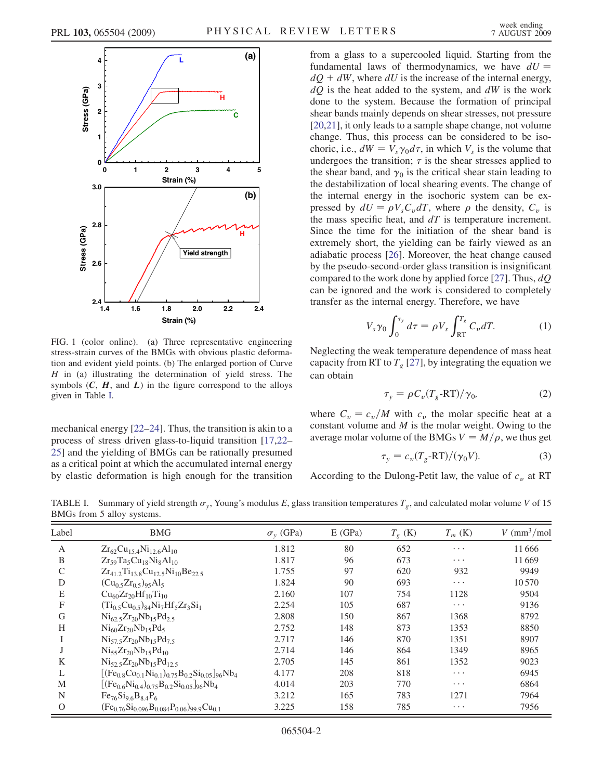

<span id="page-1-0"></span>FIG. 1 (color online). (a) Three representative engineering stress-strain curves of the BMGs with obvious plastic deformation and evident yield points. (b) The enlarged portion of Curve  $H$  in (a) illustrating the determination of yield stress. The symbols  $(C, H, \text{ and } L)$  in the figure correspond to the alloys given in Table [I](#page-1-1).

mechanical energy [\[22](#page-3-17)–[24](#page-3-18)]. Thus, the transition is akin to a process of stress driven glass-to-liquid transition [\[17](#page-3-9)[,22–](#page-3-17) [25](#page-3-19)] and the yielding of BMGs can be rationally presumed as a critical point at which the accumulated internal energy by elastic deformation is high enough for the transition from a glass to a supercooled liquid. Starting from the fundamental laws of thermodynamics, we have  $dU =$  $dO + dW$ , where dU is the increase of the internal energy,  $dQ$  is the heat added to the system, and  $dW$  is the work done to the system. Because the formation of principal shear bands mainly depends on shear stresses, not pressure [\[20](#page-3-12)[,21\]](#page-3-13), it only leads to a sample shape change, not volume change. Thus, this process can be considered to be isochoric, i.e.,  $dW = V_s \gamma_0 d\tau$ , in which  $V_s$  is the volume that undergoes the transition;  $\tau$  is the shear stresses applied to the shear band, and  $\gamma_0$  is the critical shear stain leading to the destabilization of local shearing events. The change of the internal energy in the isochoric system can be expressed by  $dU = \rho V_s C_v dT$ , where  $\rho$  the density,  $C_v$  is the mass specific heat, and  $dT$  is temperature increment. Since the time for the initiation of the shear band is extremely short, the yielding can be fairly viewed as an adiabatic process [[26](#page-3-20)]. Moreover, the heat change caused by the pseudo-second-order glass transition is insignificant compared to the work done by applied force [[27](#page-3-21)]. Thus,  $dQ$ can be ignored and the work is considered to completely transfer as the internal energy. Therefore, we have

$$
V_s \gamma_0 \int_0^{\tau_y} d\tau = \rho V_s \int_{\text{RT}}^{T_g} C_v dT. \tag{1}
$$

Neglecting the weak temperature dependence of mass heat capacity from RT to  $T<sub>g</sub>$  [[27](#page-3-21)], by integrating the equation we can obtain

$$
\tau_{y} = \rho C_{v} (T_{g} - RT) / \gamma_{0}, \qquad (2)
$$

where  $C_v = c_v/M$  with  $c_v$  the molar specific heat at a constant volume and  $M$  is the molar weight. Owing to the average molar volume of the BMGs  $V = M/\rho$ , we thus get

$$
\tau_{y} = c_{v}(T_{g} - RT)/(\gamma_{0}V). \tag{3}
$$

According to the Dulong-Petit law, the value of  $c_v$  at RT

<span id="page-1-1"></span>TABLE I. Summary of yield strength  $\sigma_y$ , Young's modulus E, glass transition temperatures  $T_g$ , and calculated molar volume V of 15 BMGs from 5 alloy systems.

| Label          | <b>BMG</b>                                                       | $\sigma$ <sub>v</sub> (GPa) | E(GPa) | $T_{\varrho}$ (K) | $T_m$ (K) | $V$ (mm <sup>3</sup> /mol |
|----------------|------------------------------------------------------------------|-----------------------------|--------|-------------------|-----------|---------------------------|
| $\overline{A}$ | $Zr_{62}Cu_{15.4}Ni_{12.6}Al_{10}$                               | 1.812                       | 80     | 652               | $\cdots$  | 11666                     |
| B              | $Zr_{59}Ta_5Cu_{18}Ni_8Al_{10}$                                  | 1.817                       | 96     | 673               | $\cdots$  | 11669                     |
| $\mathcal{C}$  | $Zr_{41.2}Ti_{13.8}Cu_{12.5}Ni_{10}Be_{22.5}$                    | 1.755                       | 97     | 620               | 932       | 9949                      |
| D              | $(Cu_{0.5}Zr_{0.5})_{95}Al_5$                                    | 1.824                       | 90     | 693               | $\cdots$  | 10570                     |
| E              | $Cu_{60}Zr_{20}Hf_{10}Ti_{10}$                                   | 2.160                       | 107    | 754               | 1128      | 9504                      |
| F              | $(Ti_0 5Cu_0 5)_{84}Ni_7Hf_5Zr_3Si_1$                            | 2.254                       | 105    | 687               | $\cdots$  | 9136                      |
| G              | $Ni_{62.5}Zr_{20}Nb_{15}Pd_{2.5}$                                | 2.808                       | 150    | 867               | 1368      | 8792                      |
| H              | $Ni_{60}Zr_{20}Nb_{15}Pd_5$                                      | 2.752                       | 148    | 873               | 1353      | 8850                      |
|                | $Ni_{57.5}Zr_{20}Nb_{15}Pd_{7.5}$                                | 2.717                       | 146    | 870               | 1351      | 8907                      |
|                | $Ni_{55}Zr_{20}Nb_{15}Pd_{10}$                                   | 2.714                       | 146    | 864               | 1349      | 8965                      |
| K              | $Ni_{52}5Zr_{20}Nb_{15}Pd_{12.5}$                                | 2.705                       | 145    | 861               | 1352      | 9023                      |
| L              | $[(Fe_{0.8}Co_{0.1}Ni_{0.1})_{0.75}B_{0.2}Si_{0.05}]_{96}Nb_{4}$ | 4.177                       | 208    | 818               | $\cdots$  | 6945                      |
| M              | $[(Fe_{0.6}Ni_{0.4})_{0.75}B_{0.2}Si_{0.05}]_{96}Nb_{4}$         | 4.014                       | 203    | 770               | $\cdots$  | 6864                      |
| N              | $Fe_{76}Si_{9.6}B_{8.4}P_6$                                      | 3.212                       | 165    | 783               | 1271      | 7964                      |
| $\Omega$       | $(Fe_{0.76}Si_{0.096}B_{0.084}P_{0.06})_{99.9}Cu_{0.1}$          | 3.225                       | 158    | 785               | $\cdots$  | 7956                      |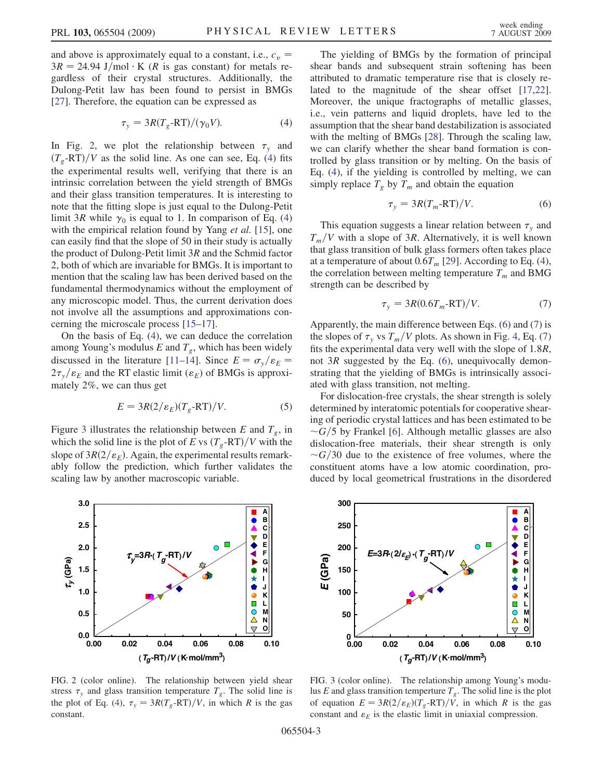and above is approximately equal to a constant, i.e.,  $c_v$  =  $3R = 24.94$  J/mol  $\cdot$  K (R is gas constant) for metals regardless of their crystal structures. Additionally, the Dulong-Petit law has been found to persist in BMGs [\[27\]](#page-3-21). Therefore, the equation can be expressed as

$$
\tau_{y} = 3R(T_{g} - RT)/(\gamma_{0}V). \tag{4}
$$

<span id="page-2-1"></span>In Fig. [2](#page-2-0), we plot the relationship between  $\tau$ <sub>y</sub> and  $(T<sub>g</sub>-RT)/V$  as the solid line. As one can see, Eq. ([4](#page-2-1)) fits the experimental results well, verifying that there is an intrinsic correlation between the yield strength of BMGs and their glass transition temperatures. It is interesting to note that the fitting slope is just equal to the Dulong-Petit limit 3R while  $\gamma_0$  is equal to 1. In comparison of Eq. [\(4\)](#page-2-1) with the empirical relation found by Yang et al. [\[15\]](#page-3-8), one can easily find that the slope of 50 in their study is actually the product of Dulong-Petit limit  $3R$  and the Schmid factor 2, both of which are invariable for BMGs. It is important to mention that the scaling law has been derived based on the fundamental thermodynamics without the employment of any microscopic model. Thus, the current derivation does not involve all the assumptions and approximations concerning the microscale process [[15](#page-3-8)[–17\]](#page-3-9).

On the basis of Eq. [\(4](#page-2-1)), we can deduce the correlation among Young's modulus E and  $T_g$ , which has been widely discussed in the literature [[11](#page-3-6)–[14](#page-3-7)]. Since  $E = \sigma_y / \varepsilon_E =$  $2\tau_y/\varepsilon_E$  and the RT elastic limit ( $\varepsilon_E$ ) of BMGs is approximately 2%, we can thus get

$$
E = 3R(2/\varepsilon_E)(T_g - RT)/V.
$$
 (5)

Figure [3](#page-2-2) illustrates the relationship between E and  $T_g$ , in which the solid line is the plot of E vs  $(T_g$ -RT $)/V$  with the slope of  $3R(2/\epsilon_E)$ . Again, the experimental results remarkably follow the prediction, which further validates the scaling law by another macroscopic variable.

The yielding of BMGs by the formation of principal shear bands and subsequent strain softening has been attributed to dramatic temperature rise that is closely related to the magnitude of the shear offset [\[17](#page-3-9)[,22\]](#page-3-17). Moreover, the unique fractographs of metallic glasses, i.e., vein patterns and liquid droplets, have led to the assumption that the shear band destabilization is associated with the melting of BMGs [[28](#page-3-22)]. Through the scaling law, we can clarify whether the shear band formation is controlled by glass transition or by melting. On the basis of Eq. ([4](#page-2-1)), if the yielding is controlled by melting, we can simply replace  $T_g$  by  $T_m$  and obtain the equation

$$
\tau_{y} = 3R(T_{m} - RT)/V.
$$
 (6)

<span id="page-2-3"></span>This equation suggests a linear relation between  $\tau$ <sub>v</sub> and  $T_m/V$  with a slope of 3R. Alternatively, it is well known that glass transition of bulk glass formers often takes place at a temperature of about  $0.6T_m$  [[29](#page-3-23)]. According to Eq. ([4\)](#page-2-1), the correlation between melting temperature  $T_m$  and BMG strength can be described by

$$
\tau_y = 3R(0.6T_m - RT)/V. \tag{7}
$$

<span id="page-2-4"></span>Apparently, the main difference between Eqs. [\(6\)](#page-2-3) and [\(7](#page-2-4)) is the slopes of  $\tau_y$  vs  $T_m/V$  plots. As shown in Fig. [4,](#page-3-24) Eq. [\(7\)](#page-2-4) fits the experimental data very well with the slope of 1:8R, not  $3R$  suggested by the Eq. ([6](#page-2-3)), unequivocally demonstrating that the yielding of BMGs is intrinsically associated with glass transition, not melting.

For dislocation-free crystals, the shear strength is solely determined by interatomic potentials for cooperative shearing of periodic crystal lattices and has been estimated to be  $\sim$  G/5 by Frankel [\[6\]](#page-3-4). Although metallic glasses are also dislocation-free materials, their shear strength is only  $\sim$ G/30 due to the existence of free volumes, where the constituent atoms have a low atomic coordination, produced by local geometrical frustrations in the disordered

<span id="page-2-0"></span>

<span id="page-2-2"></span>**300 A OAV THEFT B 250 C D E 200**  $E=3R(2/\varepsilon_E) \cdot (T_g$ -RT $)/V$  **F** *E* **(GPa) G H 150 I J 100**  $\frac{1}{2}$  **K L**  $\overline{O}$  **M 50 N O**  $\overline{\vee}$ **0 0.00 0.02 0.04 0.06 0.08 0.10 .** (*Tg***-RT**)**/***V* (**K mol/mm3**)

FIG. 2 (color online). The relationship between yield shear stress  $\tau_y$  and glass transition temperature  $T_g$ . The solid line is the plot of Eq. ([4](#page-2-1)),  $\tau_y = 3R(T_g - RT)/V$ , in which R is the gas constant.

FIG. 3 (color online). The relationship among Young's modulus E and glass transition temperture  $T_g$ . The solid line is the plot of equation  $E = 3R(2/\varepsilon_E)(T_g - RT)/V$ , in which R is the gas constant and  $\varepsilon_E$  is the elastic limit in uniaxial compression.